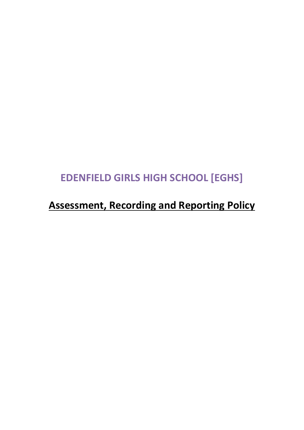# **EDENFIELD GIRLS HIGH SCHOOL [EGHS]**

# **Assessment, Recording and Reporting Policy**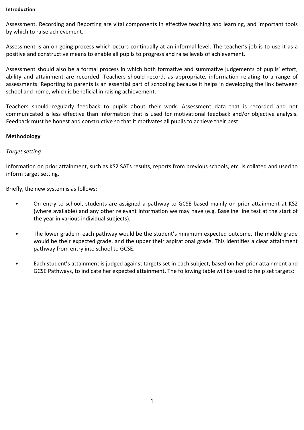#### **Introduction**

Assessment, Recording and Reporting are vital components in effective teaching and learning, and important tools by which to raise achievement.

Assessment is an on-going process which occurs continually at an informal level. The teacher's job is to use it as a positive and constructive means to enable all pupils to progress and raise levels of achievement.

Assessment should also be a formal process in which both formative and summative judgements of pupils' effort, ability and attainment are recorded. Teachers should record, as appropriate, information relating to a range of assessments. Reporting to parents is an essential part of schooling because it helps in developing the link between school and home, which is beneficial in raising achievement.

Teachers should regularly feedback to pupils about their work. Assessment data that is recorded and not communicated is less effective than information that is used for motivational feedback and/or objective analysis. Feedback must be honest and constructive so that it motivates all pupils to achieve their best.

### **Methodology**

### *Target setting*

Information on prior attainment, such as KS2 SATs results, reports from previous schools, etc. is collated and used to inform target setting.

Briefly, the new system is as follows:

- On entry to school, students are assigned a pathway to GCSE based mainly on prior attainment at KS2 (where available) and any other relevant information we may have (e.g. Baseline line test at the start of the year in various individual subjects).
- The lower grade in each pathway would be the student's minimum expected outcome. The middle grade would be their expected grade, and the upper their aspirational grade. This identifies a clear attainment pathway from entry into school to GCSE.
- Each student's attainment is judged against targets set in each subject, based on her prior attainment and GCSE Pathways, to indicate her expected attainment. The following table will be used to help set targets: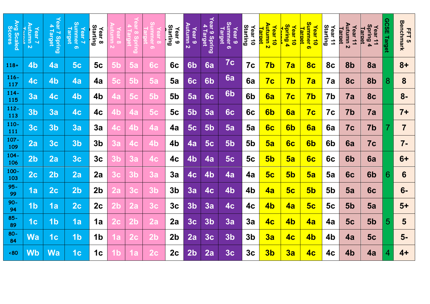| Avg Scaled<br>Scores | Autumn 2<br>Year <sub>7</sub> | Year 7 Spring<br><b>Target</b> | <u>Summer</u><br>Year <sub>7</sub><br><b>Target</b><br>ၜ | Starting<br>Year <sub>8</sub> | ထ              |                      | ග              | Starting<br>Year <sub>9</sub> | Autumn 2<br><b>Year 9</b> | Year 9<br>Ą<br><b>Target</b><br><b>Spring</b> | Summer <sub>6</sub><br><b>Target</b><br>Year <sub>9</sub> | Starting<br>Year 10 | Autumn 2<br>Year 10<br><u>Tarqet</u> | Spring 4<br>Year 10 | ທ<br>ummer 6<br>Year 10<br><b>larget</b> | Starting<br>Year <sub>11</sub> | Autumn 2<br>Year <sub>11</sub><br>Target | Spring 4<br>Year <sub>11</sub><br><u>Tarqet</u> | <b>GCSE</b><br>Target | <b>Benchmark</b><br>FFT5 |
|----------------------|-------------------------------|--------------------------------|----------------------------------------------------------|-------------------------------|----------------|----------------------|----------------|-------------------------------|---------------------------|-----------------------------------------------|-----------------------------------------------------------|---------------------|--------------------------------------|---------------------|------------------------------------------|--------------------------------|------------------------------------------|-------------------------------------------------|-----------------------|--------------------------|
| $118+$               | 4 <sub>b</sub>                | 4a                             | 5 <sub>c</sub>                                           | 5c                            | 5 <sub>b</sub> | 5a                   | 6с             | 6c                            | 6b                        | 6a                                            | 7c                                                        | 7c                  | $\overline{7}b$                      | 7a                  | 8 <sub>c</sub>                           | 8c                             | 8b                                       | 8a                                              |                       | $8+$                     |
| $116 -$<br>117       | 4 <sub>c</sub>                | 4 <sub>b</sub>                 | 4a                                                       | 4a                            | 5c             | 5                    | 5а             | 5a                            | 6c                        | 6 <sub>b</sub>                                | 6a                                                        | 6a                  | 7c                                   | 7 <sub>b</sub>      | 7a                                       | 7a                             | 8c                                       | 8b                                              | 8                     | 8                        |
| $114 -$<br>115       | 3a                            | 4 <sub>c</sub>                 | 4 <sub>b</sub>                                           | 4b                            | 4a             | 5<br>C               | 5 <sub>b</sub> | 5 <sub>b</sub>                | 5a                        | 6c                                            | 6 <sub>b</sub>                                            | 6 <sub>b</sub>      | 6a                                   | 7c                  | 7 <sub>b</sub>                           | 7b                             | 7a                                       | <b>8c</b>                                       |                       | $8-$                     |
| $112 -$<br>113       | 3 <sub>b</sub>                | 3a                             | 4 <sub>c</sub>                                           | 4c                            | 4b             | 4а                   | 5c             | 5c                            | <b>5b</b>                 | 5a                                            | 6c                                                        | 6c                  | 6b                                   | 6a                  | 7c                                       | 7c                             | 7b                                       | 7a                                              |                       | $7+$                     |
| $110 -$<br>111       | 3 <sub>c</sub>                | 3 <sub>b</sub>                 | 3a                                                       | 3a                            | 4c             | 4b                   | 4а             | 4a                            | 5 <sub>c</sub>            | 5 <sub>b</sub>                                | 5a                                                        | 5a                  | 6 <sub>c</sub>                       | 6b                  | 6a                                       | 6a                             | 7c                                       | 7b                                              |                       | $\overline{\mathbf{7}}$  |
| $107 -$<br>109       | 2a                            | 3 <sub>c</sub>                 | 3 <sub>b</sub>                                           | 3 <sub>b</sub>                | За             | 4C                   | 4b             | 4b                            | 4a                        | 5 <sub>c</sub>                                | 5 <sub>b</sub>                                            | 5 <sub>b</sub>      | 5a                                   | 6 <sub>c</sub>      | 6 <sub>b</sub>                           | 6 <sub>b</sub>                 | 6a                                       | 7c                                              |                       | $7 -$                    |
| $104 -$<br>106       | 2 <sub>b</sub>                | 2a                             | 3 <sub>c</sub>                                           | 3 <sub>c</sub>                | 3 <sub>b</sub> | 3a                   | 4с             | 4c                            | 4 <sub>b</sub>            | 4a                                            | <b>5c</b>                                                 | 5c                  | 5 <sub>b</sub>                       | 5a                  | 6 <sub>c</sub>                           | 6c                             | 6 <sub>b</sub>                           | 6a                                              |                       | $6+$                     |
| 100-<br>103          | 2 <sub>c</sub>                | 2 <sub>b</sub>                 | 2a                                                       | 2a                            | 3c             | 3                    | За             | 3a                            | 4 <sub>c</sub>            | 4 <sub>b</sub>                                | 4a                                                        | 4a                  | 5 <sub>c</sub>                       | 5 <sub>b</sub>      | 5a                                       | 5a                             | 6c                                       | 6 <sub>b</sub>                                  | 6                     | 6                        |
| $95 -$<br>99         | 1a                            | 2 <sub>c</sub>                 | 2 <sub>b</sub>                                           | 2 <sub>b</sub>                | <u> 2a</u>     | 3 <sub>c</sub>       | 3 <sub>b</sub> | 3 <sub>b</sub>                | 3a                        | 4 <sub>c</sub>                                | 4 <sub>b</sub>                                            | 4 <sub>b</sub>      | <u>4a</u>                            | 5c                  | 5 <sub>b</sub>                           | 5 <sub>b</sub>                 | 5a                                       | 6 <sub>c</sub>                                  |                       | $6-$                     |
| $90-$<br>94          | 1 <sub>b</sub>                | 1a                             | 2 <sub>c</sub>                                           | 2c                            | $2\mathsf{b}$  | 2a                   | 3c             | 3 <sub>c</sub>                | 3 <sub>b</sub>            | 3a                                            | 4 <sub>c</sub>                                            | 4c                  | 4b                                   | <b>4a</b>           | 5 <sub>c</sub>                           | 5c                             | 5 <sub>b</sub>                           | 5a                                              |                       | $5+$                     |
| $85 -$<br>89         | 1 <sub>c</sub>                | 1 <sub>b</sub>                 | 1a                                                       | 1a                            | <b>2c</b>      | $\mathbf 2\mathbf b$ | 2a             | 2a                            | 3 <sub>c</sub>            | 3 <sub>b</sub>                                | 3a                                                        | 3a                  | 4 <sub>c</sub>                       | 4 <sub>b</sub>      | 4a                                       | 4a                             | 5c                                       | 5 <sub>b</sub>                                  | 5                     | 5                        |
| $80-$<br>84          | <b>Wa</b>                     | 1 <sub>c</sub>                 | 1 <sub>b</sub>                                           | 1 <sub>b</sub>                | 1a             | <b>2c</b>            | 2 <sub>b</sub> | 2 <sub>b</sub>                | 2a                        | 3 <sub>c</sub>                                | 3 <sub>b</sub>                                            | 3 <sub>b</sub>      | 3a                                   | <u>4с</u>           | 4 <sub>b</sub>                           | 4b                             | 4a                                       | 5 <sub>c</sub>                                  |                       | $5-$                     |
| $\cdot 80$           | <b>Wb</b>                     | <b>Wa</b>                      | 1 <sub>c</sub>                                           | 1 <sub>c</sub>                |                |                      | 2C.            | 2c                            | 2 <sub>b</sub>            | 2a                                            | 3 <sub>c</sub>                                            | 3 <sub>c</sub>      | 3 <sub>b</sub>                       | 3a                  | 4 <sub>c</sub>                           | 4 <sub>c</sub>                 | 4 <sub>b</sub>                           | 4a                                              | 4                     | $4+$                     |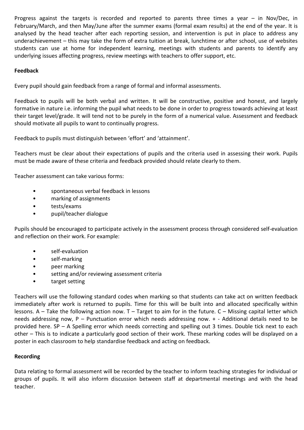Progress against the targets is recorded and reported to parents three times a year – in Nov/Dec, in February/March, and then May/June after the summer exams (formal exam results) at the end of the year. It is analysed by the head teacher after each reporting session, and intervention is put in place to address any underachievement – this may take the form of extra tuition at break, lunchtime or after school, use of websites students can use at home for independent learning, meetings with students and parents to identify any underlying issues affecting progress, review meetings with teachers to offer support, etc.

## **Feedback**

Every pupil should gain feedback from a range of formal and informal assessments.

Feedback to pupils will be both verbal and written. It will be constructive, positive and honest, and largely formative in nature i.e. informing the pupil what needs to be done in order to progress towards achieving at least their target level/grade. It will tend not to be purely in the form of a numerical value. Assessment and feedback should motivate all pupils to want to continually progress.

Feedback to pupils must distinguish between 'effort' and 'attainment'.

Teachers must be clear about their expectations of pupils and the criteria used in assessing their work. Pupils must be made aware of these criteria and feedback provided should relate clearly to them.

Teacher assessment can take various forms:

- spontaneous verbal feedback in lessons
- marking of assignments
- tests/exams
- pupil/teacher dialogue

Pupils should be encouraged to participate actively in the assessment process through considered self-evaluation and reflection on their work. For example:

- self-evaluation
- self-marking
- peer marking
- setting and/or reviewing assessment criteria
- target setting

Teachers will use the following standard codes when marking so that students can take act on written feedback immediately after work is returned to pupils. Time for this will be built into and allocated specifically within lessons. A – Take the following action now. T – Target to aim for in the future. C – Missing capital letter which needs addressing now, P – Punctuation error which needs addressing now. + - Additional details need to be provided here. SP – A Spelling error which needs correcting and spelling out 3 times. Double tick next to each other – This is to indicate a particularly good section of their work. These marking codes will be displayed on a poster in each classroom to help standardise feedback and acting on feedback.

## **Recording**

Data relating to formal assessment will be recorded by the teacher to inform teaching strategies for individual or groups of pupils. It will also inform discussion between staff at departmental meetings and with the head teacher.